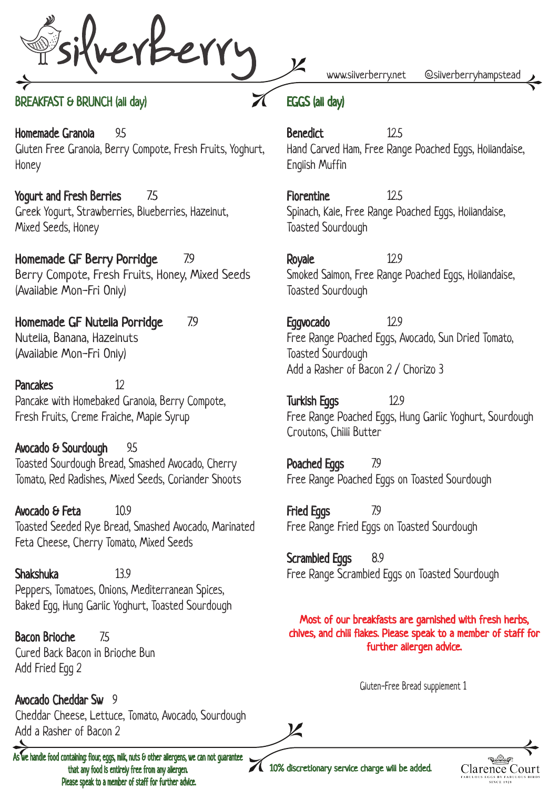reviserry

### BREAKFAST & BRUNCH (all day)

Homemade Granola 9.5 Gluten Free Granola, Berry Compote, Fresh Fruits, Yoghurt, Honey

Yogurt and Fresh Berries 7.5 Greek Yogurt, Strawberries, Blueberries, Hazelnut, Mixed Seeds, Honey

Homemade GF Berry Porridge 7.9 Berry Compote, Fresh Fruits, Honey, Mixed Seeds (Available Mon-Fri Only)

Homemade GF Nutella Porridge 7.9 Nutella, Banana, Hazelnuts (Available Mon-Fri Only)

Pancakes 12 Pancake with Homebaked Granola, Berry Compote, Fresh Fruits, Creme Fraiche, Maple Syrup

Avocado & Sourdough 9.5 Toasted Sourdough Bread, Smashed Avocado, Cherry Tomato, Red Radishes, Mixed Seeds, Coriander Shoots

Avocado & Feta 10.9 Toasted Seeded Rye Bread, Smashed Avocado, Marinated Feta Cheese, Cherry Tomato, Mixed Seeds

Shakshuka 13.9 Peppers, Tomatoes, Onions, Mediterranean Spices, Baked Egg, Hung Garlic Yoghurt, Toasted Sourdough

Bacon Brioche 7.5 Cured Back Bacon in Brioche Bun Add Fried Egg 2

Avocado Cheddar Sw 9 Cheddar Cheese, Lettuce, Tomato, Avocado, Sourdough Add a Rasher of Bacon 2

 $\overline{\textsf{A}}$ ve handle food containing: flour, eggs, milk, nuts & other allergens, we can not guarantee that any food is entirely free from any allergen. Please speak to a member of staff for further advice.

www.silverberry.net @silverberryhampstead

# EGGS (all day)

Benedict 12.5 Hand Carved Ham, Free Range Poached Eggs, Hollandaise, English Muffin

Florentine 12.5 Spinach, Kale, Free Range Poached Eggs, Hollandaise, Toasted Sourdough

Royale 12.9 Smoked Salmon, Free Range Poached Eggs, Hollandaise, Toasted Sourdough

Eggvocado 12.9 Free Range Poached Eggs, Avocado, Sun Dried Tomato, Toasted Sourdough Add a Rasher of Bacon 2 / Chorizo 3

Turkish Eggs 12.9 Free Range Poached Eggs, Hung Garlic Yoghurt, Sourdough Croutons, Chilli Butter

Poached Eggs 7.9 Free Range Poached Eggs on Toasted Sourdough

Fried Eggs 7.9 Free Range Fried Eggs on Toasted Sourdough

Scrambled Eggs 8.9 Free Range Scrambled Eggs on Toasted Sourdough

Most of our breakfasts are garnished with fresh herbs, chives, and chili flakes. Please speak to a member of staff for further allergen advice.

Gluten-Free Bread supplement 1



10% discretionary service charge will be added.